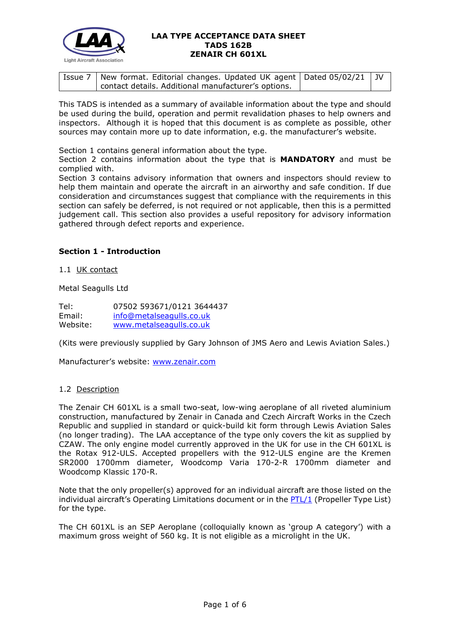

| <sup>1</sup> Issue 7   New format. Editorial changes. Updated UK agent   Dated 05/02/21   JV |  |
|----------------------------------------------------------------------------------------------|--|
| contact details. Additional manufacturer's options.                                          |  |

This TADS is intended as a summary of available information about the type and should be used during the build, operation and permit revalidation phases to help owners and inspectors. Although it is hoped that this document is as complete as possible, other sources may contain more up to date information, e.g. the manufacturer's website.

Section 1 contains general information about the type.

Section 2 contains information about the type that is **MANDATORY** and must be complied with.

Section 3 contains advisory information that owners and inspectors should review to help them maintain and operate the aircraft in an airworthy and safe condition. If due consideration and circumstances suggest that compliance with the requirements in this section can safely be deferred, is not required or not applicable, then this is a permitted judgement call. This section also provides a useful repository for advisory information gathered through defect reports and experience.

# **Section 1 - Introduction**

1.1 UK contact

Metal Seagulls Ltd

Tel: 07502 593671/0121 3644437 Email: [info@metalseagulls.co.uk](mailto:info@metalseagulls.co.uk) Website: [www.metalseagulls.co.uk](http://www.metalseagulls.co.uk/)

(Kits were previously supplied by Gary Johnson of JMS Aero and Lewis Aviation Sales.)

Manufacturer's website: [www.zenair.com](http://www.zenair.com/)

# 1.2 Description

The Zenair CH 601XL is a small two-seat, low-wing aeroplane of all riveted aluminium construction, manufactured by Zenair in Canada and Czech Aircraft Works in the Czech Republic and supplied in standard or quick-build kit form through Lewis Aviation Sales (no longer trading). The LAA acceptance of the type only covers the kit as supplied by CZAW. The only engine model currently approved in the UK for use in the CH 601XL is the Rotax 912-ULS. Accepted propellers with the 912-ULS engine are the Kremen SR2000 1700mm diameter, Woodcomp Varia 170-2-R 1700mm diameter and Woodcomp Klassic 170-R.

Note that the only propeller(s) approved for an individual aircraft are those listed on the individual aircraft's Operating Limitations document or in the [PTL/1](http://www.lightaircraftassociation.co.uk/engineering/NewMods/PTL.html) (Propeller Type List) for the type.

The CH 601XL is an SEP Aeroplane (colloquially known as 'group A category') with a maximum gross weight of 560 kg. It is not eligible as a microlight in the UK.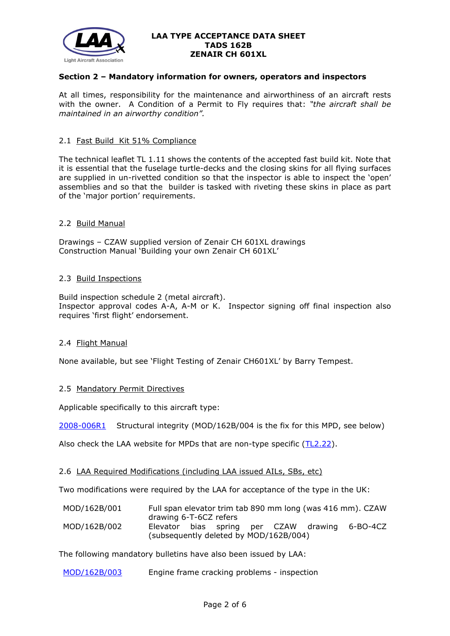

# **Section 2 – Mandatory information for owners, operators and inspectors**

At all times, responsibility for the maintenance and airworthiness of an aircraft rests with the owner. A Condition of a Permit to Fly requires that: *"the aircraft shall be maintained in an airworthy condition".* 

#### 2.1 Fast Build Kit 51% Compliance

The technical leaflet TL 1.11 shows the contents of the accepted fast build kit. Note that it is essential that the fuselage turtle-decks and the closing skins for all flying surfaces are supplied in un-rivetted condition so that the inspector is able to inspect the 'open' assemblies and so that the builder is tasked with riveting these skins in place as part of the 'major portion' requirements.

# 2.2 Build Manual

Drawings – CZAW supplied version of Zenair CH 601XL drawings Construction Manual 'Building your own Zenair CH 601XL'

#### 2.3 Build Inspections

Build inspection schedule 2 (metal aircraft). Inspector approval codes A-A, A-M or K. Inspector signing off final inspection also requires 'first flight' endorsement.

# 2.4 Flight Manual

None available, but see 'Flight Testing of Zenair CH601XL' by Barry Tempest.

# 2.5 Mandatory Permit Directives

Applicable specifically to this aircraft type:

[2008-006R1](http://www.lightaircraftassociation.co.uk/engineering/TADs/162B/MPD2008-006R1.pdf) Structural integrity (MOD/162B/004 is the fix for this MPD, see below)

Also check the LAA website for MPDs that are non-type specific [\(TL2.22\)](http://www.lightaircraftassociation.co.uk/engineering/TechnicalLeaflets/Operating%20An%20Aircraft/TL%202.22%20non-type%20specific%20MPDs.pdf).

#### 2.6 LAA Required Modifications (including LAA issued AILs, SBs, etc)

Two modifications were required by the LAA for acceptance of the type in the UK:

| MOD/162B/001 |                                        |  |  | Full span elevator trim tab 890 mm long (was 416 mm). CZAW |
|--------------|----------------------------------------|--|--|------------------------------------------------------------|
|              | drawing 6-T-6CZ refers                 |  |  |                                                            |
| MOD/162B/002 |                                        |  |  | Elevator bias spring per CZAW drawing 6-BO-4CZ             |
|              | (subsequently deleted by MOD/162B/004) |  |  |                                                            |

The following mandatory bulletins have also been issued by LAA:

[MOD/162B/003](http://www.lightaircraftassociation.co.uk/engineering/TADs/162B/MOD162B003.pdf) Engine frame cracking problems - inspection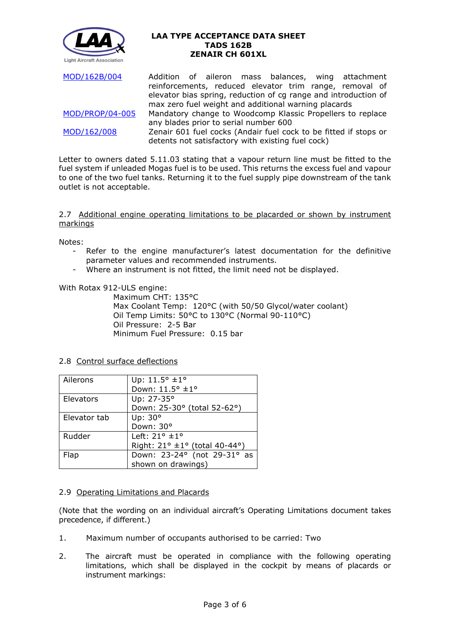

[MOD/162B/004](http://www.lightaircraftassociation.co.uk/engineering/TADs/162B/MOD162B004.pdf) Addition of aileron mass balances, wing attachment reinforcements, reduced elevator trim range, removal of elevator bias spring, reduction of cg range and introduction of max zero fuel weight and additional warning placards [MOD/PROP/04-005](http://www.lightaircraftassociation.co.uk/engineering/TADs/162B/MODPROP04005.pdf) Mandatory change to Woodcomp Klassic Propellers to replace any blades prior to serial number 600 [MOD/162/008](http://www.lightaircraftassociation.co.uk/engineering/TADs/162B/MOD162008.pdf) Zenair 601 fuel cocks (Andair fuel cock to be fitted if stops or detents not satisfactory with existing fuel cock)

Letter to owners dated 5.11.03 stating that a vapour return line must be fitted to the fuel system if unleaded Mogas fuel is to be used. This returns the excess fuel and vapour to one of the two fuel tanks. Returning it to the fuel supply pipe downstream of the tank outlet is not acceptable.

2.7 Additional engine operating limitations to be placarded or shown by instrument markings

Notes:

- Refer to the engine manufacturer's latest documentation for the definitive parameter values and recommended instruments.
- Where an instrument is not fitted, the limit need not be displayed.

With Rotax 912-ULS engine:

Maximum CHT: 135°C Max Coolant Temp: 120°C (with 50/50 Glycol/water coolant) Oil Temp Limits: 50°C to 130°C (Normal 90-110°C) Oil Pressure: 2-5 Bar Minimum Fuel Pressure: 0.15 bar

2.8 Control surface deflections

| Ailerons     | Up: $11.5^{\circ}$ ±1°        |  |  |  |  |
|--------------|-------------------------------|--|--|--|--|
|              | Down: 11.5° ±1°               |  |  |  |  |
| Elevators    | Up: 27-35°                    |  |  |  |  |
|              | Down: 25-30° (total 52-62°)   |  |  |  |  |
| Elevator tab | Up: 30°                       |  |  |  |  |
|              | Down: 30°                     |  |  |  |  |
| Rudder       | Left: $21^\circ \pm 1^\circ$  |  |  |  |  |
|              | Right: 21° ±1° (total 40-44°) |  |  |  |  |
| Flap         | Down: 23-24° (not 29-31° as   |  |  |  |  |
|              | shown on drawings)            |  |  |  |  |

# 2.9 Operating Limitations and Placards

(Note that the wording on an individual aircraft's Operating Limitations document takes precedence, if different.)

- 1. Maximum number of occupants authorised to be carried: Two
- 2. The aircraft must be operated in compliance with the following operating limitations, which shall be displayed in the cockpit by means of placards or instrument markings: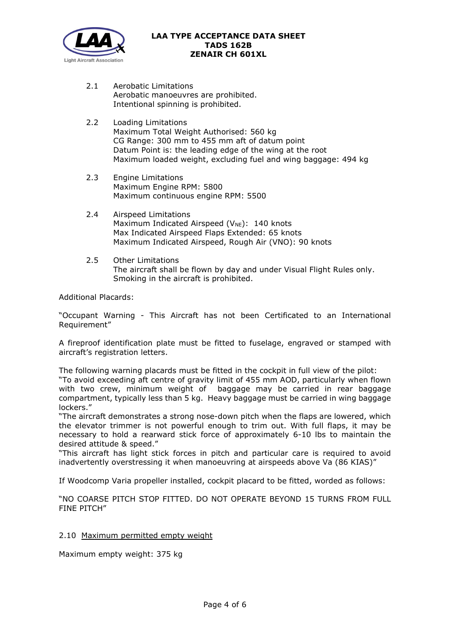

- 2.1 Aerobatic Limitations Aerobatic manoeuvres are prohibited. Intentional spinning is prohibited.
- 2.2 Loading Limitations Maximum Total Weight Authorised: 560 kg CG Range: 300 mm to 455 mm aft of datum point Datum Point is: the leading edge of the wing at the root Maximum loaded weight, excluding fuel and wing baggage: 494 kg
- 2.3 Engine Limitations Maximum Engine RPM: 5800 Maximum continuous engine RPM: 5500
- 2.4 Airspeed Limitations Maximum Indicated Airspeed ( $V_{NE}$ ): 140 knots Max Indicated Airspeed Flaps Extended: 65 knots Maximum Indicated Airspeed, Rough Air (VNO): 90 knots
- 2.5 Other Limitations The aircraft shall be flown by day and under Visual Flight Rules only. Smoking in the aircraft is prohibited.

Additional Placards:

"Occupant Warning - This Aircraft has not been Certificated to an International Requirement"

A fireproof identification plate must be fitted to fuselage, engraved or stamped with aircraft's registration letters.

The following warning placards must be fitted in the cockpit in full view of the pilot: "To avoid exceeding aft centre of gravity limit of 455 mm AOD, particularly when flown with two crew, minimum weight of baggage may be carried in rear baggage compartment, typically less than 5 kg. Heavy baggage must be carried in wing baggage lockers."

"The aircraft demonstrates a strong nose-down pitch when the flaps are lowered, which the elevator trimmer is not powerful enough to trim out. With full flaps, it may be necessary to hold a rearward stick force of approximately 6-10 lbs to maintain the desired attitude & speed."

"This aircraft has light stick forces in pitch and particular care is required to avoid inadvertently overstressing it when manoeuvring at airspeeds above Va (86 KIAS)"

If Woodcomp Varia propeller installed, cockpit placard to be fitted, worded as follows:

"NO COARSE PITCH STOP FITTED. DO NOT OPERATE BEYOND 15 TURNS FROM FULL FINE PITCH"

2.10 Maximum permitted empty weight

Maximum empty weight: 375 kg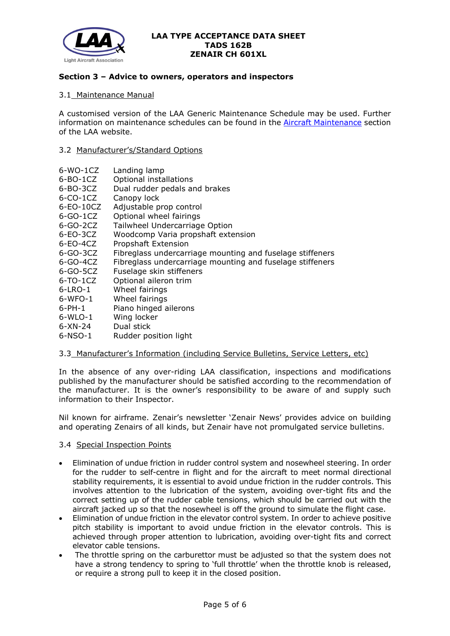

# **Section 3 – Advice to owners, operators and inspectors**

# 3.1 Maintenance Manual

A customised version of the LAA Generic Maintenance Schedule may be used. Further information on maintenance schedules can be found in the [Aircraft Maintenance](http://www.lightaircraftassociation.co.uk/engineering/Maintenance/Aircraft_Maintenance.html) section of the LAA website.

# 3.2 Manufacturer's/Standard Options

- 6-WO-1CZ Landing lamp
- 6-BO-1CZ Optional installations
- 6-BO-3CZ Dual rudder pedals and brakes
- 6-CO-1CZ Canopy lock
- 6-EO-10CZ Adjustable prop control
- 6-GO-1CZ Optional wheel fairings
- 6-GO-2CZ Tailwheel Undercarriage Option
- 6-EO-3CZ Woodcomp Varia propshaft extension
- 6-EO-4CZ Propshaft Extension
- 6-GO-3CZ Fibreglass undercarriage mounting and fuselage stiffeners
- 6-GO-4CZ Fibreglass undercarriage mounting and fuselage stiffeners
- 6-GO-5CZ Fuselage skin stiffeners
- 6-TO-1CZ Optional aileron trim
- 6-LRO-1 Wheel fairings
- 6-WFO-1 Wheel fairings
- 6-PH-1 Piano hinged ailerons
- 6-WLO-1 Wing locker
- 6-XN-24 Dual stick
- 6-NSO-1 Rudder position light

# 3.3 Manufacturer's Information (including Service Bulletins, Service Letters, etc)

In the absence of any over-riding LAA classification, inspections and modifications published by the manufacturer should be satisfied according to the recommendation of the manufacturer. It is the owner's responsibility to be aware of and supply such information to their Inspector.

Nil known for airframe. Zenair's newsletter 'Zenair News' provides advice on building and operating Zenairs of all kinds, but Zenair have not promulgated service bulletins.

# 3.4 Special Inspection Points

- Elimination of undue friction in rudder control system and nosewheel steering. In order for the rudder to self-centre in flight and for the aircraft to meet normal directional stability requirements, it is essential to avoid undue friction in the rudder controls. This involves attention to the lubrication of the system, avoiding over-tight fits and the correct setting up of the rudder cable tensions, which should be carried out with the aircraft jacked up so that the nosewheel is off the ground to simulate the flight case.
- Elimination of undue friction in the elevator control system. In order to achieve positive pitch stability is important to avoid undue friction in the elevator controls. This is achieved through proper attention to lubrication, avoiding over-tight fits and correct elevator cable tensions.
- The throttle spring on the carburettor must be adjusted so that the system does not have a strong tendency to spring to 'full throttle' when the throttle knob is released, or require a strong pull to keep it in the closed position.